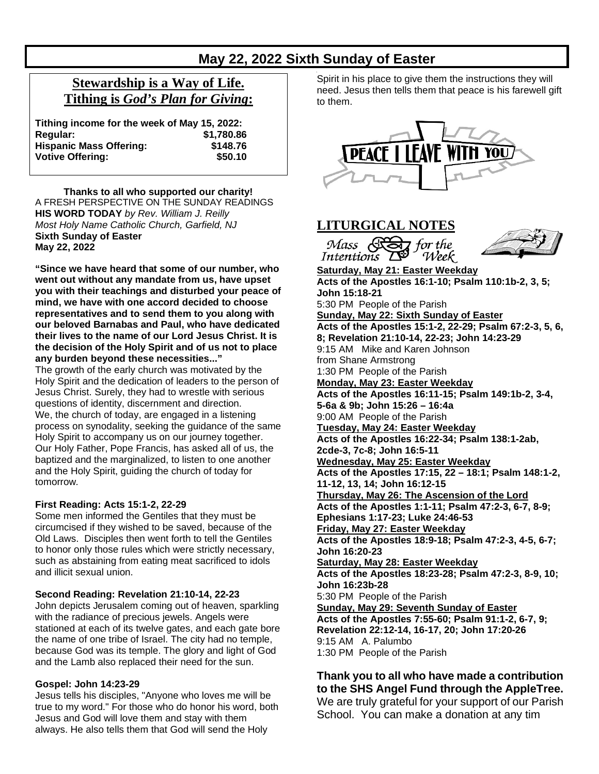# **May 22, 2022 Sixth Sunday of Easter**

# **Stewardship is a Way of Life. Tithing is** *God's Plan for Giving***:**

| Tithing income for the week of May 15, 2022: |            |
|----------------------------------------------|------------|
| Regular:                                     | \$1,780.86 |
| <b>Hispanic Mass Offering:</b>               | \$148.76   |
| <b>Votive Offering:</b>                      | \$50.10    |

**Thanks to all who supported our charity!** A FRESH PERSPECTIVE ON THE SUNDAY READINGS **HIS WORD TODAY** *by Rev. William J. Reilly Most Holy Name Catholic Church, Garfield, NJ* **Sixth Sunday of Easter May 22, 2022**

**"Since we have heard that some of our number, who went out without any mandate from us, have upset you with their teachings and disturbed your peace of mind, we have with one accord decided to choose representatives and to send them to you along with our beloved Barnabas and Paul, who have dedicated their lives to the name of our Lord Jesus Christ. It is the decision of the Holy Spirit and of us not to place any burden beyond these necessities..."**

The growth of the early church was motivated by the Holy Spirit and the dedication of leaders to the person of Jesus Christ. Surely, they had to wrestle with serious questions of identity, discernment and direction. We, the church of today, are engaged in a listening process on synodality, seeking the guidance of the same Holy Spirit to accompany us on our journey together. Our Holy Father, Pope Francis, has asked all of us, the baptized and the marginalized, to listen to one another and the Holy Spirit, guiding the church of today for tomorrow*.*

#### **First Reading: Acts 15:1-2, 22-29**

Some men informed the Gentiles that they must be circumcised if they wished to be saved, because of the Old Laws. Disciples then went forth to tell the Gentiles to honor only those rules which were strictly necessary, such as abstaining from eating meat sacrificed to idols and illicit sexual union.

#### **Second Reading: Revelation 21:10-14, 22-23**

John depicts Jerusalem coming out of heaven, sparkling with the radiance of precious jewels. Angels were stationed at each of its twelve gates, and each gate bore the name of one tribe of Israel. The city had no temple, because God was its temple. The glory and light of God and the Lamb also replaced their need for the sun.

#### **Gospel: John 14:23-29**

Jesus tells his disciples, "Anyone who loves me will be true to my word." For those who do honor his word, both Jesus and God will love them and stay with them always. He also tells them that God will send the Holy

Spirit in his place to give them the instructions they will need. Jesus then tells them that peace is his farewell gift to them.



Week

## **LITURGICAL NOTES**

Mass Son for the

Intentions



**Saturday, May 21: Easter Weekday Acts of the Apostles 16:1-10; Psalm 110:1b-2, 3, 5; John 15:18-21** 5:30 PM People of the Parish **Sunday, May 22: Sixth Sunday of Easter Acts of the Apostles 15:1-2, 22-29; Psalm 67:2-3, 5, 6, 8; Revelation 21:10-14, 22-23; John 14:23-29** 9:15 AM Mike and Karen Johnson from Shane Armstrong 1:30 PM People of the Parish **Monday, May 23: Easter Weekday Acts of the Apostles 16:11-15; Psalm 149:1b-2, 3-4, 5-6a & 9b; John 15:26 – 16:4a** 9:00 AM People of the Parish **Tuesday, May 24: Easter Weekday Acts of the Apostles 16:22-34; Psalm 138:1-2ab, 2cde-3, 7c-8; John 16:5-11 Wednesday, May 25: Easter Weekday Acts of the Apostles 17:15, 22 – 18:1; Psalm 148:1-2, 11-12, 13, 14; John 16:12-15 Thursday, May 26: The Ascension of the Lord Acts of the Apostles 1:1-11; Psalm 47:2-3, 6-7, 8-9; Ephesians 1:17-23; Luke 24:46-53 Friday, May 27: Easter Weekday Acts of the Apostles 18:9-18; Psalm 47:2-3, 4-5, 6-7; John 16:20-23 Saturday, May 28: Easter Weekday Acts of the Apostles 18:23-28; Psalm 47:2-3, 8-9, 10; John 16:23b-28** 5:30 PM People of the Parish **Sunday, May 29: Seventh Sunday of Easter Acts of the Apostles 7:55-60; Psalm 91:1-2, 6-7, 9; Revelation 22:12-14, 16-17, 20; John 17:20-26** 9:15 AM A. Palumbo 1:30 PM People of the Parish

## **Thank you to all who have made a contribution to the SHS Angel Fund through the AppleTree.** We are truly grateful for your support of our Parish

School. You can make a donation at any tim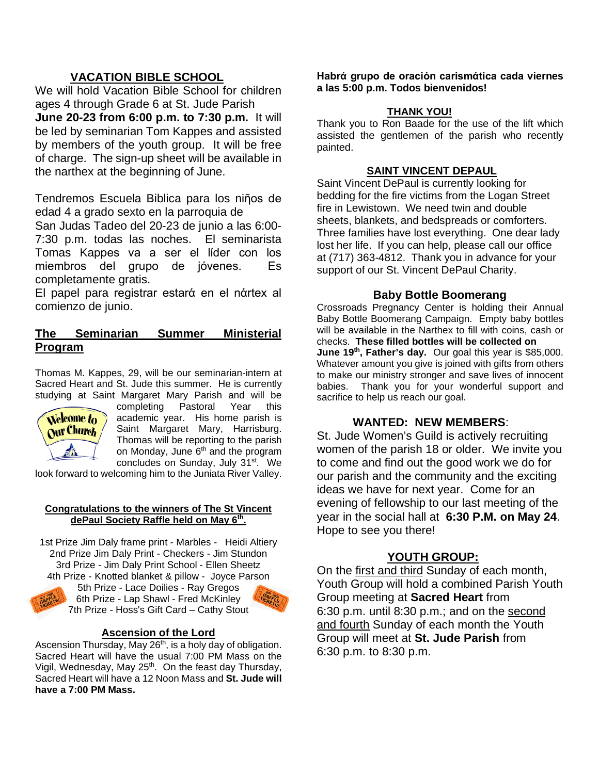## **VACATION BIBLE SCHOOL**

We will hold Vacation Bible School for children ages 4 through Grade 6 at St. Jude Parish **June 20-23 from 6:00 p.m. to 7:30 p.m.** It will be led by seminarian Tom Kappes and assisted by members of the youth group. It will be free of charge. The sign-up sheet will be available in the narthex at the beginning of June.

Tendremos Escuela Biblica para los niῆos de edad 4 a grado sexto en la parroquia de

San Judas Tadeo del 20-23 de junio a las 6:00- 7:30 p.m. todas las noches. El seminarista Tomas Kappes va a ser el lίder con los miembros del grupo de jόvenes. Es completamente gratis.

El papel para registrar estarά en el nάrtex al comienzo de junio.

### **The Seminarian Summer Ministerial Program**

Thomas M. Kappes, 29, will be our seminarian-intern at Sacred Heart and St. Jude this summer. He is currently



studying at Saint Margaret Mary Parish and will be Year this academic year. His home parish is Saint Margaret Mary, Harrisburg. Thomas will be reporting to the parish on Monday, June  $6<sup>th</sup>$  and the program concludes on Sunday, July 31<sup>st</sup>. We

look forward to welcoming him to the Juniata River Valley.

#### **Congratulations to the winners of The St Vincent dePaul Society Raffle held on May 6th.**

1st Prize Jim Daly frame print - Marbles - Heidi Altiery 2nd Prize Jim Daly Print - Checkers - Jim Stundon 3rd Prize - Jim Daly Print School - Ellen Sheetz 4th Prize - Knotted blanket & pillow - Joyce Parson 5th Prize - Lace Doilies - Ray Gregos



6th Prize - Lap Shawl - Fred McKinley 7th Prize - Hoss's Gift Card – Cathy Stout

### **Ascension of the Lord**

Ascension Thursday, May 26<sup>th</sup>, is a holy day of obligation. Sacred Heart will have the usual 7:00 PM Mass on the Vigil, Wednesday, May 25<sup>th</sup>. On the feast day Thursday, Sacred Heart will have a 12 Noon Mass and **St. Jude will have a 7:00 PM Mass.**

**Habrά grupo de oraciόn carismάtica cada viernes a las 5:00 p.m. Todos bienvenidos!**

### **THANK YOU!**

Thank you to Ron Baade for the use of the lift which assisted the gentlemen of the parish who recently painted.

### **SAINT VINCENT DEPAUL**

Saint Vincent DePaul is currently looking for bedding for the fire victims from the Logan Street fire in Lewistown. We need twin and double sheets, blankets, and bedspreads or comforters. Three families have lost everything. One dear lady lost her life. If you can help, please call our office at (717) 363-4812. Thank you in advance for your support of our St. Vincent DePaul Charity.

### **Baby Bottle Boomerang**

Crossroads Pregnancy Center is holding their Annual Baby Bottle Boomerang Campaign. Empty baby bottles will be available in the Narthex to fill with coins, cash or checks. **These filled bottles will be collected on June 19th, Father's day.** Our goal this year is \$85,000. Whatever amount you give is joined with gifts from others to make our ministry stronger and save lives of innocent babies. Thank you for your wonderful support and sacrifice to help us reach our goal.

## **WANTED: NEW MEMBERS**:

St. Jude Women's Guild is actively recruiting women of the parish 18 or older. We invite you to come and find out the good work we do for our parish and the community and the exciting ideas we have for next year. Come for an evening of fellowship to our last meeting of the year in the social hall at **6:30 P.M. on May 24**. Hope to see you there!

## **YOUTH GROUP:**

On the first and third Sunday of each month, Youth Group will hold a combined Parish Youth Group meeting at **Sacred Heart** from 6:30 p.m. until 8:30 p.m.; and on the second and fourth Sunday of each month the Youth Group will meet at **St. Jude Parish** from 6:30 p.m. to 8:30 p.m.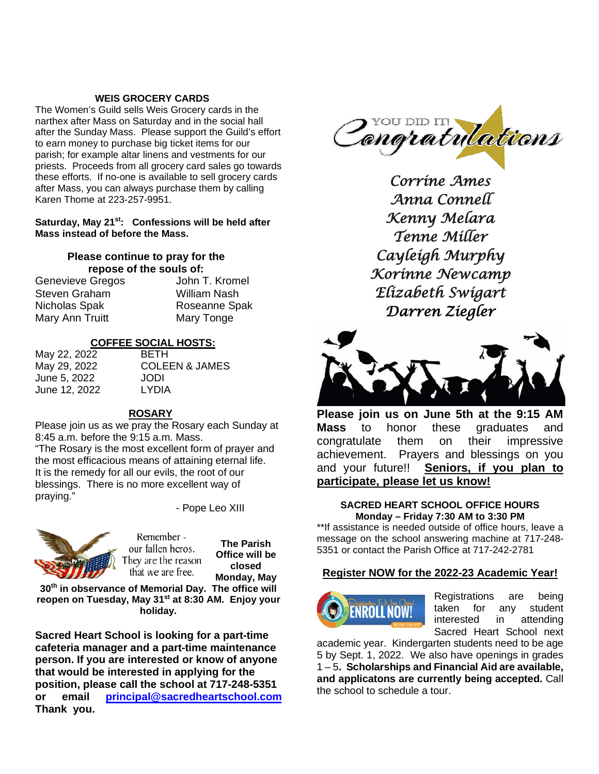### **WEIS GROCERY CARDS**

The Women's Guild sells Weis Grocery cards in the narthex after Mass on Saturday and in the social hall after the Sunday Mass. Please support the Guild's effort to earn money to purchase big ticket items for our parish; for example altar linens and vestments for our priests. Proceeds from all grocery card sales go towards these efforts. If no-one is available to sell grocery cards after Mass, you can always purchase them by calling Karen Thome at 223-257-9951.

### **Saturday, May 21st: Confessions will be held after Mass instead of before the Mass.**

## **Please continue to pray for the repose of the souls of:**

Genevieve Gregos John T. Kromel Steven Graham Milliam Nash<br>Nicholas Spak Micholas Spak Mary Ann Truitt Mary Tonge

Roseanne Spak

JAMES

### **COFFEE SOCIAL HOSTS:**

| May 22, 2022  | <b>BETH</b> |
|---------------|-------------|
| May 29, 2022  | COLEEN &    |
| June 5, 2022  | JODI        |
| June 12, 2022 | LYDIA       |
|               |             |

#### **ROSARY**

Please join us as we pray the Rosary each Sunday at 8:45 a.m. before the 9:15 a.m. Mass. "The Rosary is the most excellent form of prayer and the most efficacious means of attaining eternal life. It is the remedy for all our evils, the root of our

blessings. There is no more excellent way of praying."

- Pope Leo XIII



Remember our fallen heros. They are the reason that we are free.

**The Parish Office will be closed Monday, May** 

**30th in observance of Memorial Day. The office will reopen on Tuesday, May 31st at 8:30 AM. Enjoy your holiday.**

**Sacred Heart School is looking for a part-time cafeteria manager and a part-time maintenance person. If you are interested or know of anyone that would be interested in applying for the position, please call the school at 717-248-5351 or email [principal@sacredheartschool.com](mailto:principal@sacredheartschool.com)  Thank you.**



*Corrine Ames Anna Connell Kenny Melara Tenne Miller Cayleigh Murphy Korinne Newcamp Elizabeth Swigart Darren Ziegler* 



**Please join us on June 5th at the 9:15 AM Mass** to honor these graduates and congratulate them on their impressive achievement. Prayers and blessings on you and your future!! **Seniors, if you plan to participate, please let us know!**

#### **SACRED HEART SCHOOL OFFICE HOURS Monday – Friday 7:30 AM to 3:30 PM**

\*\*If assistance is needed outside of office hours, leave a message on the school answering machine at 717-248- 5351 or contact the Parish Office at 717-242-2781

#### **Register NOW for the 2022-23 Academic Year!**



Registrations are being taken for any student interested in attending Sacred Heart School next

academic year. Kindergarten students need to be age 5 by Sept. 1, 2022. We also have openings in grades 1 – 5**. Scholarships and Financial Aid are available, and applicatons are currently being accepted.** Call the school to schedule a tour.